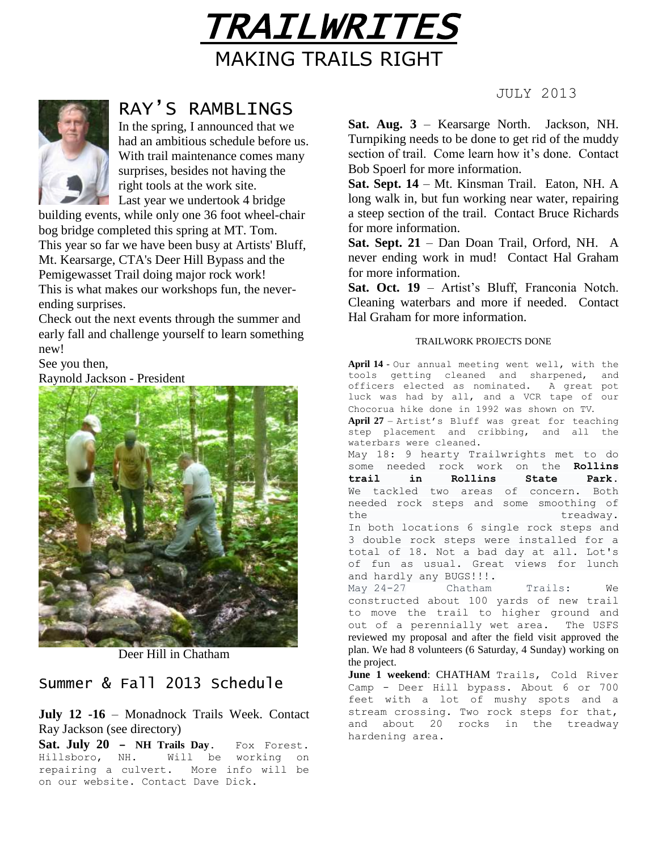



# RAY'S RAMBLINGS

In the spring, I announced that we had an ambitious schedule before us. With trail maintenance comes many surprises, besides not having the right tools at the work site. **Last year we undertook 4 bridge** 

building events, while only one 36 foot wheel-chair bog bridge completed this spring at MT. Tom. This year so far we have been busy at Artists' Bluff, Mt. Kearsarge, CTA's Deer Hill Bypass and the Pemigewasset Trail doing major rock work! This is what makes our workshops fun, the neverending surprises.

Check out the next events through the summer and early fall and challenge yourself to learn something new!

See you then,

Raynold Jackson - President



Deer Hill in Chatham

## Summer & Fall 2013 Schedule

**July 12 -16** – Monadnock Trails Week. Contact Ray Jackson (see directory)

**Sat. July 20 – NH Trails Day**. Fox Forest. Hillsboro, NH. Will be working on repairing a culvert. More info will be on our website. Contact Dave Dick.

JULY 2013

**Sat. Aug. 3** – Kearsarge North. Jackson, NH. Turnpiking needs to be done to get rid of the muddy section of trail. Come learn how it's done. Contact Bob Spoerl for more information.

**Sat. Sept. 14** – Mt. Kinsman Trail. Eaton, NH. A long walk in, but fun working near water, repairing a steep section of the trail. Contact Bruce Richards for more information.

**Sat. Sept. 21** – Dan Doan Trail, Orford, NH. A never ending work in mud! Contact Hal Graham for more information.

**Sat. Oct. 19** – Artist's Bluff, Franconia Notch. Cleaning waterbars and more if needed. Contact Hal Graham for more information.

### TRAILWORK PROJECTS DONE

**April 14** - Our annual meeting went well, with the tools getting cleaned and sharpened, and officers elected as nominated. A great pot luck was had by all, and a VCR tape of our Chocorua hike done in 1992 was shown on TV. **April 27** – Artist's Bluff was great for teaching step placement and cribbing, and all the waterbars were cleaned. May 18: 9 hearty Trailwrights met to do some needed rock work on the **Rollins trail in Rollins State Park**. We tackled two areas of concern. Both needed rock steps and some smoothing of the treadway. In both locations 6 single rock steps and 3 double rock steps were installed for a total of 18. Not a bad day at all. Lot's of fun as usual. Great views for lunch and hardly any BUGS!!!. May 24-27 Chatham Trails: We constructed about 100 yards of new trail to move the trail to higher ground and out of a perennially wet area. The USFS

reviewed my proposal and after the field visit approved the plan. We had 8 volunteers (6 Saturday, 4 Sunday) working on the project.

**June 1 weekend**: CHATHAM Trails, Cold River Camp - Deer Hill bypass. About 6 or 700 feet with a lot of mushy spots and a stream crossing. Two rock steps for that, and about 20 rocks in the treadway hardening area.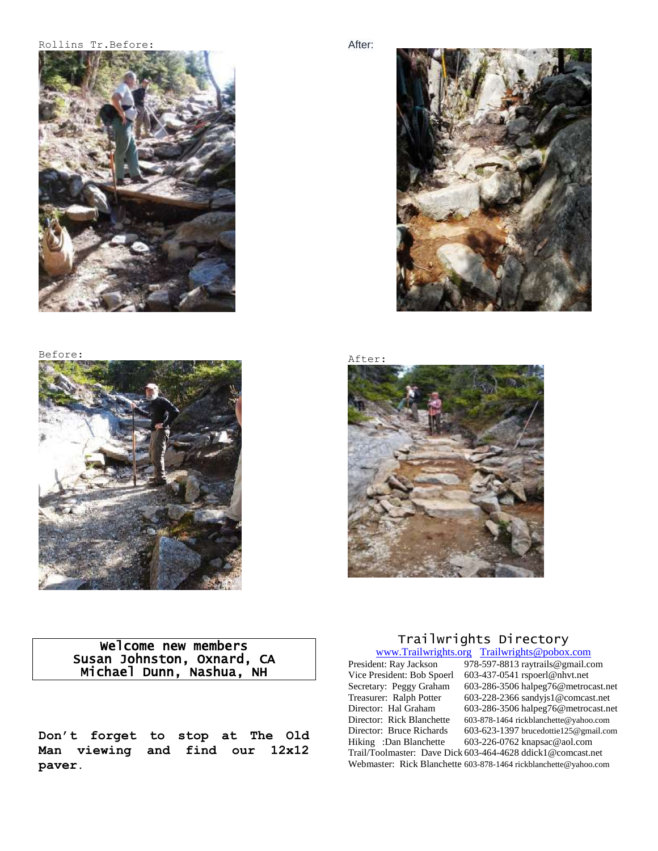#### Rollins Tr.Before:



#### Before:



#### After:



After:



## Welcome new members Susan Johnston, Oxnard, CA Michael Dunn, Nashua, NH

**Don't forget to stop at The Old Man viewing and find our 12x12 paver.**

## Trailwrights Directory

[www.Trailwrights.org](http://www.trailwrights.org/) [Trailwrights@pobox.com](mailto:Trailwrights@pobox.com)<br>President: Ray Jackson 978-597-8813 raytrails@gmail.co Vice President: Bob Spoerl 603-437-0541 rspoerl@nhvt.net<br>Secretary: Peggy Graham 603-286-3506 halpeg76@metroc Secretary: Peggy Graham 603-286-3506 halpeg76@metrocast.net<br>Treasurer: Ralph Potter 603-228-2366 sandyjs1@comcast.net Treasurer: Ralph Potter 603-228-2366 sandyjs1@comcast.net<br>Director: Hal Graham 603-286-3506 halpeg76@metrocast.ne Director: Rick Blanchette 603-878-1464 rickblanchette@yahoo.com Director: Bruce Richards 603-623-1397 brucedottie125@gmail.com Hiking :Dan Blanchette 603-226-0762 knapsac@aol.com Trail/Toolmaster: Dave Dick 603-464-4628 ddick1@comcast.net Webmaster: Rick Blanchette 603-878-1464 rickblanchette@yahoo.com

# 978-597-8813 raytrails@gmail.com 603-286-3506 halpeg76@metrocast.net